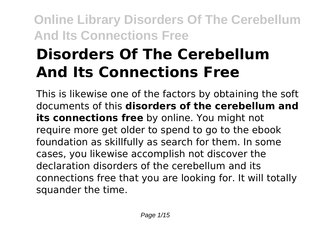# **Disorders Of The Cerebellum And Its Connections Free**

This is likewise one of the factors by obtaining the soft documents of this **disorders of the cerebellum and its connections free** by online. You might not require more get older to spend to go to the ebook foundation as skillfully as search for them. In some cases, you likewise accomplish not discover the declaration disorders of the cerebellum and its connections free that you are looking for. It will totally squander the time.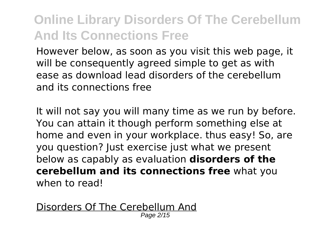However below, as soon as you visit this web page, it will be consequently agreed simple to get as with ease as download lead disorders of the cerebellum and its connections free

It will not say you will many time as we run by before. You can attain it though perform something else at home and even in your workplace. thus easy! So, are you question? Just exercise just what we present below as capably as evaluation **disorders of the cerebellum and its connections free** what you when to read!

Disorders Of The Cerebellum And Page 2/15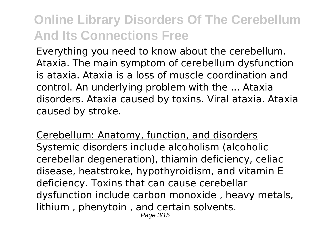Everything you need to know about the cerebellum. Ataxia. The main symptom of cerebellum dysfunction is ataxia. Ataxia is a loss of muscle coordination and control. An underlying problem with the ... Ataxia disorders. Ataxia caused by toxins. Viral ataxia. Ataxia caused by stroke.

Cerebellum: Anatomy, function, and disorders Systemic disorders include alcoholism (alcoholic cerebellar degeneration), thiamin deficiency, celiac disease, heatstroke, hypothyroidism, and vitamin E deficiency. Toxins that can cause cerebellar dysfunction include carbon monoxide , heavy metals, lithium , phenytoin , and certain solvents. Page 3/15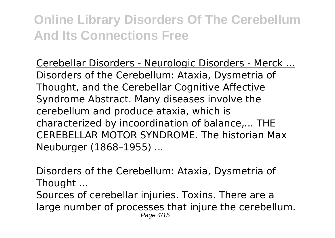Cerebellar Disorders - Neurologic Disorders - Merck ... Disorders of the Cerebellum: Ataxia, Dysmetria of Thought, and the Cerebellar Cognitive Affective Syndrome Abstract. Many diseases involve the cerebellum and produce ataxia, which is characterized by incoordination of balance,... THE CEREBELLAR MOTOR SYNDROME. The historian Max Neuburger (1868–1955) ...

Disorders of the Cerebellum: Ataxia, Dysmetria of Thought ...

Sources of cerebellar injuries. Toxins. There are a large number of processes that injure the cerebellum. Page 4/15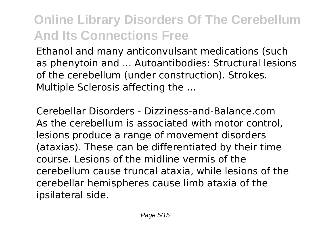Ethanol and many anticonvulsant medications (such as phenytoin and ... Autoantibodies: Structural lesions of the cerebellum (under construction). Strokes. Multiple Sclerosis affecting the ...

Cerebellar Disorders - Dizziness-and-Balance.com As the cerebellum is associated with motor control, lesions produce a range of movement disorders (ataxias). These can be differentiated by their time course. Lesions of the midline vermis of the cerebellum cause truncal ataxia, while lesions of the cerebellar hemispheres cause limb ataxia of the ipsilateral side.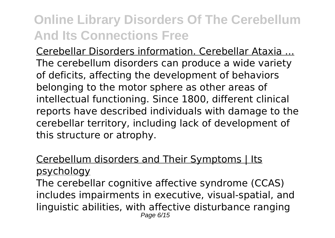Cerebellar Disorders information. Cerebellar Ataxia ... The cerebellum disorders can produce a wide variety of deficits, affecting the development of behaviors belonging to the motor sphere as other areas of intellectual functioning. Since 1800, different clinical reports have described individuals with damage to the cerebellar territory, including lack of development of this structure or atrophy.

#### Cerebellum disorders and Their Symptoms | Its psychology

The cerebellar cognitive affective syndrome (CCAS) includes impairments in executive, visual-spatial, and linguistic abilities, with affective disturbance ranging Page 6/15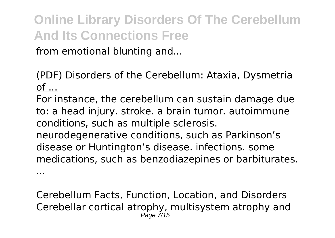from emotional blunting and...

#### (PDF) Disorders of the Cerebellum: Ataxia, Dysmetria of ...

For instance, the cerebellum can sustain damage due to: a head injury. stroke. a brain tumor. autoimmune conditions, such as multiple sclerosis.

neurodegenerative conditions, such as Parkinson's disease or Huntington's disease. infections. some medications, such as benzodiazepines or barbiturates.

...

Cerebellum Facts, Function, Location, and Disorders Cerebellar cortical atrophy, multisystem atrophy and Page 7/15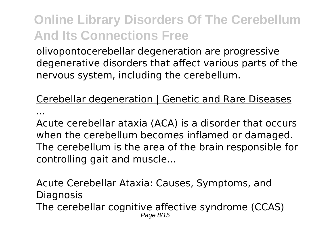olivopontocerebellar degeneration are progressive degenerative disorders that affect various parts of the nervous system, including the cerebellum.

#### Cerebellar degeneration | Genetic and Rare Diseases

...

Acute cerebellar ataxia (ACA) is a disorder that occurs when the cerebellum becomes inflamed or damaged. The cerebellum is the area of the brain responsible for controlling gait and muscle...

#### Acute Cerebellar Ataxia: Causes, Symptoms, and **Diagnosis** The cerebellar cognitive affective syndrome (CCAS) Page 8/15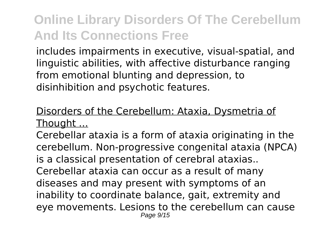includes impairments in executive, visual-spatial, and linguistic abilities, with affective disturbance ranging from emotional blunting and depression, to disinhibition and psychotic features.

### Disorders of the Cerebellum: Ataxia, Dysmetria of Thought ...

Cerebellar ataxia is a form of ataxia originating in the cerebellum. Non-progressive congenital ataxia (NPCA) is a classical presentation of cerebral ataxias.. Cerebellar ataxia can occur as a result of many diseases and may present with symptoms of an inability to coordinate balance, gait, extremity and eye movements. Lesions to the cerebellum can cause Page  $9/15$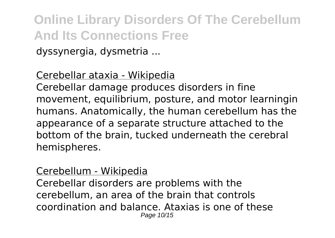dyssynergia, dysmetria ...

#### Cerebellar ataxia - Wikipedia

Cerebellar damage produces disorders in fine movement, equilibrium, posture, and motor learningin humans. Anatomically, the human cerebellum has the appearance of a separate structure attached to the bottom of the brain, tucked underneath the cerebral hemispheres.

#### Cerebellum - Wikipedia

Cerebellar disorders are problems with the cerebellum, an area of the brain that controls coordination and balance. Ataxias is one of these Page 10/15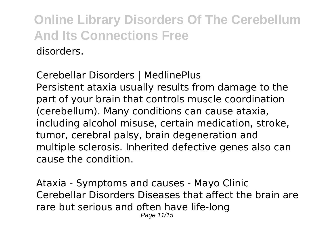#### Cerebellar Disorders | MedlinePlus

Persistent ataxia usually results from damage to the part of your brain that controls muscle coordination (cerebellum). Many conditions can cause ataxia, including alcohol misuse, certain medication, stroke, tumor, cerebral palsy, brain degeneration and multiple sclerosis. Inherited defective genes also can cause the condition.

Ataxia - Symptoms and causes - Mayo Clinic Cerebellar Disorders Diseases that affect the brain are rare but serious and often have life-long Page 11/15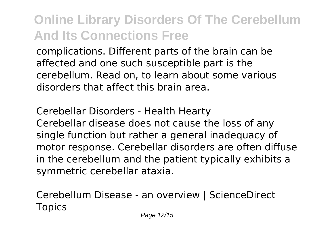complications. Different parts of the brain can be affected and one such susceptible part is the cerebellum. Read on, to learn about some various disorders that affect this brain area.

#### Cerebellar Disorders - Health Hearty

Cerebellar disease does not cause the loss of any single function but rather a general inadequacy of motor response. Cerebellar disorders are often diffuse in the cerebellum and the patient typically exhibits a symmetric cerebellar ataxia.

### Cerebellum Disease - an overview | ScienceDirect **Topics**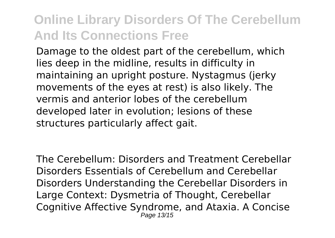Damage to the oldest part of the cerebellum, which lies deep in the midline, results in difficulty in maintaining an upright posture. Nystagmus (jerky movements of the eyes at rest) is also likely. The vermis and anterior lobes of the cerebellum developed later in evolution; lesions of these structures particularly affect gait.

The Cerebellum: Disorders and Treatment Cerebellar Disorders Essentials of Cerebellum and Cerebellar Disorders Understanding the Cerebellar Disorders in Large Context: Dysmetria of Thought, Cerebellar Cognitive Affective Syndrome, and Ataxia. A Concise Page 13/15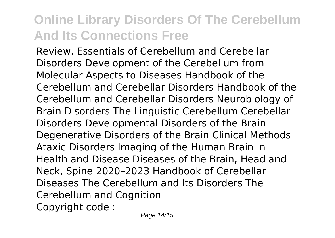Review. Essentials of Cerebellum and Cerebellar Disorders Development of the Cerebellum from Molecular Aspects to Diseases Handbook of the Cerebellum and Cerebellar Disorders Handbook of the Cerebellum and Cerebellar Disorders Neurobiology of Brain Disorders The Linguistic Cerebellum Cerebellar Disorders Developmental Disorders of the Brain Degenerative Disorders of the Brain Clinical Methods Ataxic Disorders Imaging of the Human Brain in Health and Disease Diseases of the Brain, Head and Neck, Spine 2020–2023 Handbook of Cerebellar Diseases The Cerebellum and Its Disorders The Cerebellum and Cognition Copyright code :